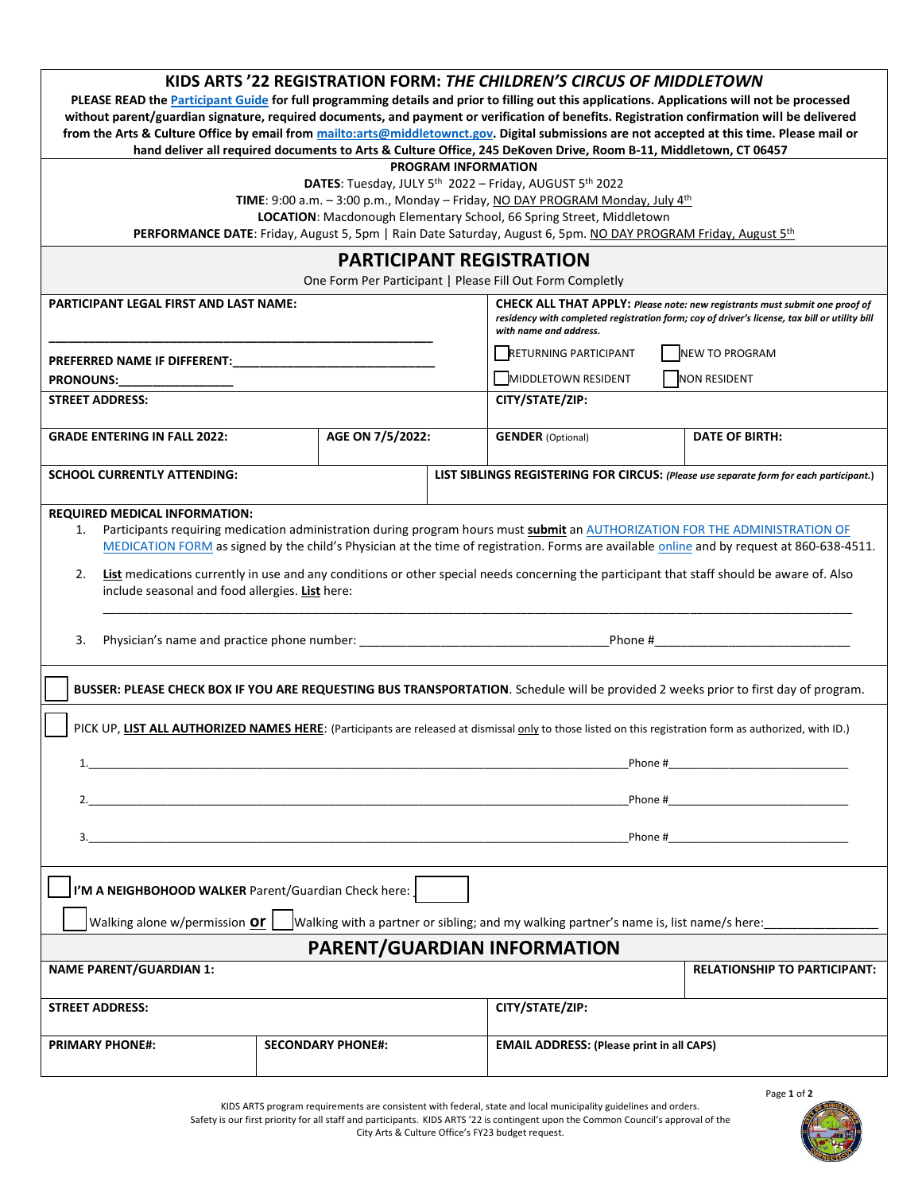| KIDS ARTS '22 REGISTRATION FORM: THE CHILDREN'S CIRCUS OF MIDDLETOWN<br>PLEASE READ the Participant Guide for full programming details and prior to filling out this applications. Applications will not be processed<br>without parent/guardian signature, required documents, and payment or verification of benefits. Registration confirmation will be delivered<br>from the Arts & Culture Office by email from mailto:arts@middletownct.gov. Digital submissions are not accepted at this time. Please mail or<br>hand deliver all required documents to Arts & Culture Office, 245 DeKoven Drive, Room B-11, Middletown, CT 06457 |                          |                            |                                                                                                                                                                                                               |                                                                                                                                     |  |  |
|------------------------------------------------------------------------------------------------------------------------------------------------------------------------------------------------------------------------------------------------------------------------------------------------------------------------------------------------------------------------------------------------------------------------------------------------------------------------------------------------------------------------------------------------------------------------------------------------------------------------------------------|--------------------------|----------------------------|---------------------------------------------------------------------------------------------------------------------------------------------------------------------------------------------------------------|-------------------------------------------------------------------------------------------------------------------------------------|--|--|
|                                                                                                                                                                                                                                                                                                                                                                                                                                                                                                                                                                                                                                          |                          | <b>PROGRAM INFORMATION</b> |                                                                                                                                                                                                               |                                                                                                                                     |  |  |
|                                                                                                                                                                                                                                                                                                                                                                                                                                                                                                                                                                                                                                          |                          |                            | DATES: Tuesday, JULY 5th 2022 - Friday, AUGUST 5th 2022<br>TIME: 9:00 a.m. - 3:00 p.m., Monday - Friday, NO DAY PROGRAM Monday, July 4th                                                                      |                                                                                                                                     |  |  |
|                                                                                                                                                                                                                                                                                                                                                                                                                                                                                                                                                                                                                                          |                          |                            | LOCATION: Macdonough Elementary School, 66 Spring Street, Middletown                                                                                                                                          |                                                                                                                                     |  |  |
| PERFORMANCE DATE: Friday, August 5, 5pm   Rain Date Saturday, August 6, 5pm. NO DAY PROGRAM Friday, August 5th<br><b>PARTICIPANT REGISTRATION</b>                                                                                                                                                                                                                                                                                                                                                                                                                                                                                        |                          |                            |                                                                                                                                                                                                               |                                                                                                                                     |  |  |
|                                                                                                                                                                                                                                                                                                                                                                                                                                                                                                                                                                                                                                          |                          |                            | One Form Per Participant   Please Fill Out Form Completly                                                                                                                                                     |                                                                                                                                     |  |  |
| <b>PARTICIPANT LEGAL FIRST AND LAST NAME:</b>                                                                                                                                                                                                                                                                                                                                                                                                                                                                                                                                                                                            |                          |                            | <b>CHECK ALL THAT APPLY:</b> Please note: new registrants must submit one proof of<br>residency with completed registration form; coy of driver's license, tax bill or utility bill<br>with name and address. |                                                                                                                                     |  |  |
|                                                                                                                                                                                                                                                                                                                                                                                                                                                                                                                                                                                                                                          |                          |                            | RETURNING PARTICIPANT<br><b>NEW TO PROGRAM</b>                                                                                                                                                                |                                                                                                                                     |  |  |
| <b>PRONOUNS:</b>                                                                                                                                                                                                                                                                                                                                                                                                                                                                                                                                                                                                                         |                          |                            | MIDDLETOWN RESIDENT                                                                                                                                                                                           | <b>NON RESIDENT</b>                                                                                                                 |  |  |
| <b>STREET ADDRESS:</b>                                                                                                                                                                                                                                                                                                                                                                                                                                                                                                                                                                                                                   |                          |                            | CITY/STATE/ZIP:                                                                                                                                                                                               |                                                                                                                                     |  |  |
| <b>GRADE ENTERING IN FALL 2022:</b>                                                                                                                                                                                                                                                                                                                                                                                                                                                                                                                                                                                                      | AGE ON 7/5/2022:         |                            | <b>GENDER</b> (Optional)                                                                                                                                                                                      | <b>DATE OF BIRTH:</b>                                                                                                               |  |  |
| <b>SCHOOL CURRENTLY ATTENDING:</b>                                                                                                                                                                                                                                                                                                                                                                                                                                                                                                                                                                                                       |                          |                            |                                                                                                                                                                                                               | LIST SIBLINGS REGISTERING FOR CIRCUS: (Please use separate form for each participant.)                                              |  |  |
| List medications currently in use and any conditions or other special needs concerning the participant that staff should be aware of. Also<br>2.<br>include seasonal and food allergies. List here:<br>Physician's name and practice phone number:<br>Phone #<br>3.                                                                                                                                                                                                                                                                                                                                                                      |                          |                            |                                                                                                                                                                                                               |                                                                                                                                     |  |  |
|                                                                                                                                                                                                                                                                                                                                                                                                                                                                                                                                                                                                                                          |                          |                            |                                                                                                                                                                                                               | BUSSER: PLEASE CHECK BOX IF YOU ARE REQUESTING BUS TRANSPORTATION. Schedule will be provided 2 weeks prior to first day of program. |  |  |
| PICK UP, LIST ALL <b>AUTHORIZED NAMES HERE</b> : (Participants are released at dismissal only to those listed on this registration form as authorized, with ID.)                                                                                                                                                                                                                                                                                                                                                                                                                                                                         |                          |                            |                                                                                                                                                                                                               |                                                                                                                                     |  |  |
| Phone # Phone # Phone # Phone # 2012<br>$\overline{\mathbf{3}}$ .                                                                                                                                                                                                                                                                                                                                                                                                                                                                                                                                                                        |                          |                            |                                                                                                                                                                                                               |                                                                                                                                     |  |  |
| I'M A NEIGHBOHOOD WALKER Parent/Guardian Check here:<br>Walking alone w/permission $or$<br>Walking with a partner or sibling; and my walking partner's name is, list name/s here:                                                                                                                                                                                                                                                                                                                                                                                                                                                        |                          |                            |                                                                                                                                                                                                               |                                                                                                                                     |  |  |
| <b>PARENT/GUARDIAN INFORMATION</b>                                                                                                                                                                                                                                                                                                                                                                                                                                                                                                                                                                                                       |                          |                            |                                                                                                                                                                                                               |                                                                                                                                     |  |  |
| <b>NAME PARENT/GUARDIAN 1:</b>                                                                                                                                                                                                                                                                                                                                                                                                                                                                                                                                                                                                           |                          |                            |                                                                                                                                                                                                               | <b>RELATIONSHIP TO PARTICIPANT:</b>                                                                                                 |  |  |
| <b>STREET ADDRESS:</b>                                                                                                                                                                                                                                                                                                                                                                                                                                                                                                                                                                                                                   |                          |                            | CITY/STATE/ZIP:                                                                                                                                                                                               |                                                                                                                                     |  |  |
| <b>PRIMARY PHONE#:</b>                                                                                                                                                                                                                                                                                                                                                                                                                                                                                                                                                                                                                   | <b>SECONDARY PHONE#:</b> |                            | <b>EMAIL ADDRESS: (Please print in all CAPS)</b>                                                                                                                                                              |                                                                                                                                     |  |  |